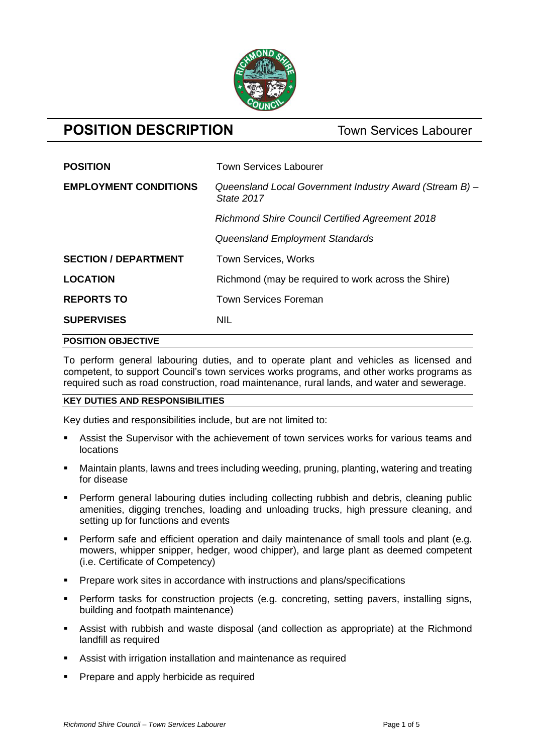

# **POSITION DESCRIPTION** Town Services Labourer

| <b>POSITION</b>              | <b>Town Services Labourer</b>                                         |
|------------------------------|-----------------------------------------------------------------------|
| <b>EMPLOYMENT CONDITIONS</b> | Queensland Local Government Industry Award (Stream B) -<br>State 2017 |
|                              | <b>Richmond Shire Council Certified Agreement 2018</b>                |
|                              | Queensland Employment Standards                                       |
| <b>SECTION / DEPARTMENT</b>  | <b>Town Services, Works</b>                                           |
| <b>LOCATION</b>              | Richmond (may be required to work across the Shire)                   |
| <b>REPORTS TO</b>            | <b>Town Services Foreman</b>                                          |
| <b>SUPERVISES</b>            | <b>NIL</b>                                                            |
| <b>POSITION OBJECTIVE</b>    |                                                                       |

## To perform general labouring duties, and to operate plant and vehicles as licensed and competent, to support Council's town services works programs, and other works programs as required such as road construction, road maintenance, rural lands, and water and sewerage.

#### **KEY DUTIES AND RESPONSIBILITIES**

Key duties and responsibilities include, but are not limited to:

- Assist the Supervisor with the achievement of town services works for various teams and locations
- Maintain plants, lawns and trees including weeding, pruning, planting, watering and treating for disease
- Perform general labouring duties including collecting rubbish and debris, cleaning public amenities, digging trenches, loading and unloading trucks, high pressure cleaning, and setting up for functions and events
- **•** Perform safe and efficient operation and daily maintenance of small tools and plant (e.g. mowers, whipper snipper, hedger, wood chipper), and large plant as deemed competent (i.e. Certificate of Competency)
- Prepare work sites in accordance with instructions and plans/specifications
- **•** Perform tasks for construction projects (e.g. concreting, setting pavers, installing signs, building and footpath maintenance)
- Assist with rubbish and waste disposal (and collection as appropriate) at the Richmond landfill as required
- Assist with irrigation installation and maintenance as required
- Prepare and apply herbicide as required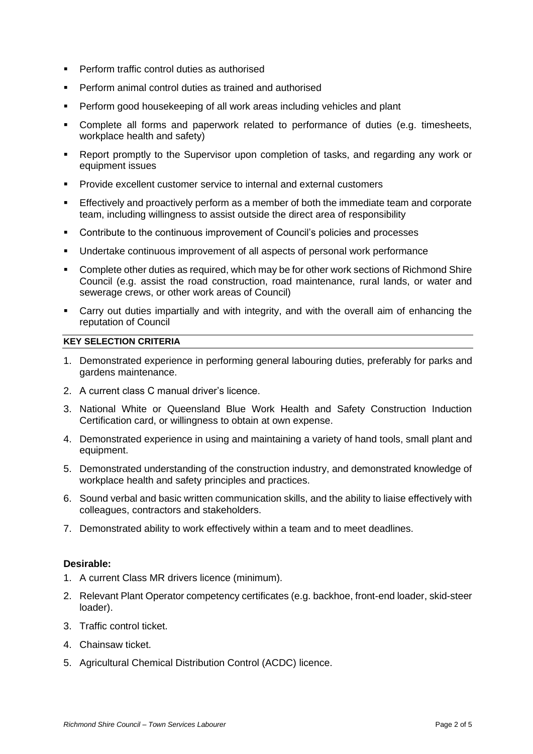- Perform traffic control duties as authorised
- Perform animal control duties as trained and authorised
- Perform good housekeeping of all work areas including vehicles and plant
- Complete all forms and paperwork related to performance of duties (e.g. timesheets, workplace health and safety)
- Report promptly to the Supervisor upon completion of tasks, and regarding any work or equipment issues
- Provide excellent customer service to internal and external customers
- **Effectively and proactively perform as a member of both the immediate team and corporate** team, including willingness to assist outside the direct area of responsibility
- Contribute to the continuous improvement of Council's policies and processes
- Undertake continuous improvement of all aspects of personal work performance
- Complete other duties as required, which may be for other work sections of Richmond Shire Council (e.g. assist the road construction, road maintenance, rural lands, or water and sewerage crews, or other work areas of Council)
- Carry out duties impartially and with integrity, and with the overall aim of enhancing the reputation of Council

# **KEY SELECTION CRITERIA**

- 1. Demonstrated experience in performing general labouring duties, preferably for parks and gardens maintenance.
- 2. A current class C manual driver's licence.
- 3. National White or Queensland Blue Work Health and Safety Construction Induction Certification card, or willingness to obtain at own expense.
- 4. Demonstrated experience in using and maintaining a variety of hand tools, small plant and equipment.
- 5. Demonstrated understanding of the construction industry, and demonstrated knowledge of workplace health and safety principles and practices.
- 6. Sound verbal and basic written communication skills, and the ability to liaise effectively with colleagues, contractors and stakeholders.
- 7. Demonstrated ability to work effectively within a team and to meet deadlines.

# **Desirable:**

- 1. A current Class MR drivers licence (minimum).
- 2. Relevant Plant Operator competency certificates (e.g. backhoe, front-end loader, skid-steer loader).
- 3. Traffic control ticket.
- 4. Chainsaw ticket.
- 5. Agricultural Chemical Distribution Control (ACDC) licence.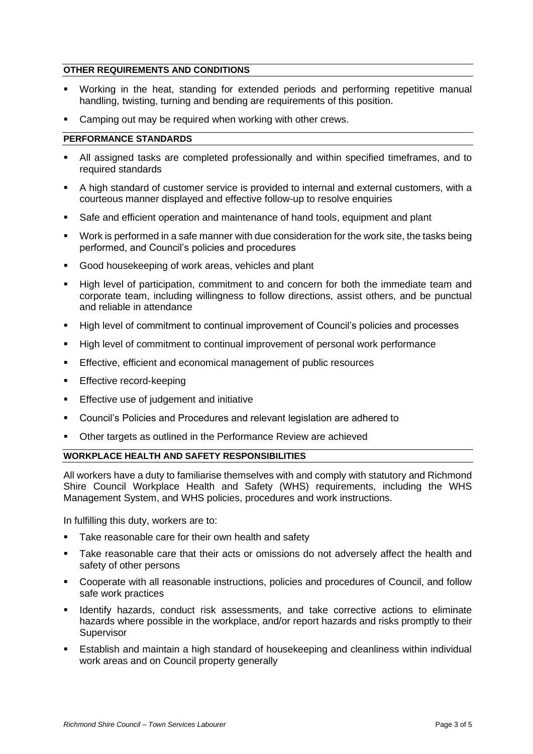### **OTHER REQUIREMENTS AND CONDITIONS**

- Working in the heat, standing for extended periods and performing repetitive manual handling, twisting, turning and bending are requirements of this position.
- Camping out may be required when working with other crews.

#### **PERFORMANCE STANDARDS**

- All assigned tasks are completed professionally and within specified timeframes, and to required standards
- A high standard of customer service is provided to internal and external customers, with a courteous manner displayed and effective follow-up to resolve enquiries
- **•** Safe and efficient operation and maintenance of hand tools, equipment and plant
- Work is performed in a safe manner with due consideration for the work site, the tasks being performed, and Council's policies and procedures
- Good housekeeping of work areas, vehicles and plant
- High level of participation, commitment to and concern for both the immediate team and corporate team, including willingness to follow directions, assist others, and be punctual and reliable in attendance
- High level of commitment to continual improvement of Council's policies and processes
- High level of commitment to continual improvement of personal work performance
- **Effective, efficient and economical management of public resources**
- Effective record-keeping
- **Effective use of judgement and initiative**
- Council's Policies and Procedures and relevant legislation are adhered to
- Other targets as outlined in the Performance Review are achieved

### **WORKPLACE HEALTH AND SAFETY RESPONSIBILITIES**

All workers have a duty to familiarise themselves with and comply with statutory and Richmond Shire Council Workplace Health and Safety (WHS) requirements, including the WHS Management System, and WHS policies, procedures and work instructions.

In fulfilling this duty, workers are to:

- Take reasonable care for their own health and safety
- **•** Take reasonable care that their acts or omissions do not adversely affect the health and safety of other persons
- Cooperate with all reasonable instructions, policies and procedures of Council, and follow safe work practices
- Identify hazards, conduct risk assessments, and take corrective actions to eliminate hazards where possible in the workplace, and/or report hazards and risks promptly to their Supervisor
- **Establish and maintain a high standard of housekeeping and cleanliness within individual** work areas and on Council property generally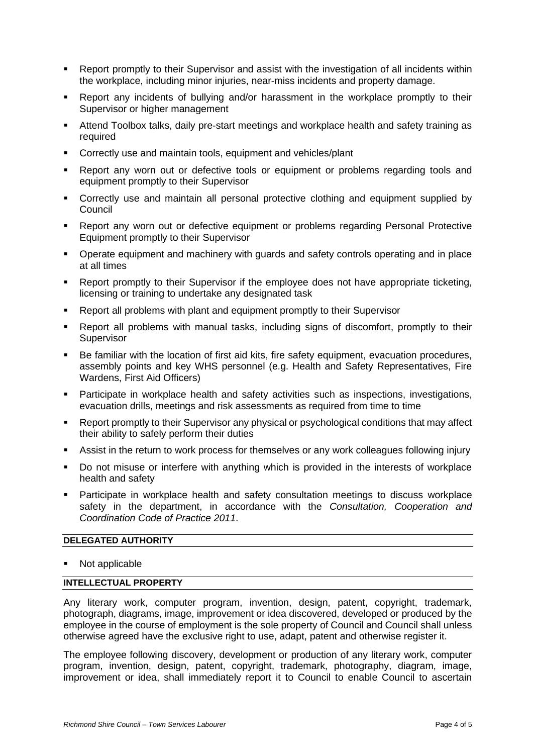- Report promptly to their Supervisor and assist with the investigation of all incidents within the workplace, including minor injuries, near-miss incidents and property damage.
- Report any incidents of bullying and/or harassment in the workplace promptly to their Supervisor or higher management
- Attend Toolbox talks, daily pre-start meetings and workplace health and safety training as required
- Correctly use and maintain tools, equipment and vehicles/plant
- Report any worn out or defective tools or equipment or problems regarding tools and equipment promptly to their Supervisor
- Correctly use and maintain all personal protective clothing and equipment supplied by Council
- Report any worn out or defective equipment or problems regarding Personal Protective Equipment promptly to their Supervisor
- Operate equipment and machinery with guards and safety controls operating and in place at all times
- Report promptly to their Supervisor if the employee does not have appropriate ticketing, licensing or training to undertake any designated task
- Report all problems with plant and equipment promptly to their Supervisor
- Report all problems with manual tasks, including signs of discomfort, promptly to their Supervisor
- Be familiar with the location of first aid kits, fire safety equipment, evacuation procedures, assembly points and key WHS personnel (e.g. Health and Safety Representatives, Fire Wardens, First Aid Officers)
- **EXECT** Participate in workplace health and safety activities such as inspections, investigations, evacuation drills, meetings and risk assessments as required from time to time
- Report promptly to their Supervisor any physical or psychological conditions that may affect their ability to safely perform their duties
- Assist in the return to work process for themselves or any work colleagues following injury
- Do not misuse or interfere with anything which is provided in the interests of workplace health and safety
- Participate in workplace health and safety consultation meetings to discuss workplace safety in the department, in accordance with the *Consultation, Cooperation and Coordination Code of Practice 2011*.

#### **DELEGATED AUTHORITY**

■ Not applicable

# **INTELLECTUAL PROPERTY**

Any literary work, computer program, invention, design, patent, copyright, trademark, photograph, diagrams, image, improvement or idea discovered, developed or produced by the employee in the course of employment is the sole property of Council and Council shall unless otherwise agreed have the exclusive right to use, adapt, patent and otherwise register it.

The employee following discovery, development or production of any literary work, computer program, invention, design, patent, copyright, trademark, photography, diagram, image, improvement or idea, shall immediately report it to Council to enable Council to ascertain